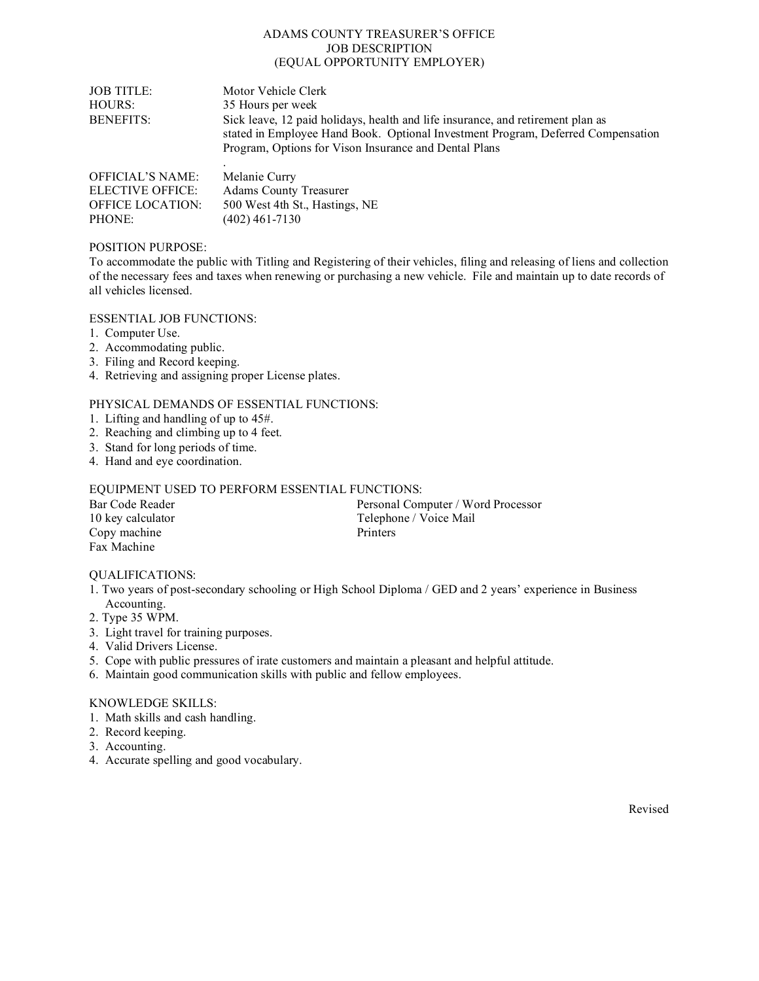#### ADAMS COUNTY TREASURER'S OFFICE JOB DESCRIPTION (EQUAL OPPORTUNITY EMPLOYER)

| <b>JOB TITLE:</b><br>HOURS:<br><b>BENEFITS:</b> | Motor Vehicle Clerk<br>35 Hours per week<br>Sick leave, 12 paid holidays, health and life insurance, and retirement plan as<br>stated in Employee Hand Book. Optional Investment Program, Deferred Compensation<br>Program, Options for Vison Insurance and Dental Plans |
|-------------------------------------------------|--------------------------------------------------------------------------------------------------------------------------------------------------------------------------------------------------------------------------------------------------------------------------|
| <b>OFFICIAL'S NAME:</b>                         | Melanie Curry                                                                                                                                                                                                                                                            |
| <b>ELECTIVE OFFICE:</b>                         | <b>Adams County Treasurer</b>                                                                                                                                                                                                                                            |

# POSITION PURPOSE:

PHONE: (402) 461-7130

To accommodate the public with Titling and Registering of their vehicles, filing and releasing of liens and collection of the necessary fees and taxes when renewing or purchasing a new vehicle. File and maintain up to date records of all vehicles licensed.

ESSENTIAL JOB FUNCTIONS:

- 1. Computer Use.
- 2. Accommodating public.
- 3. Filing and Record keeping.
- 4. Retrieving and assigning proper License plates.

## PHYSICAL DEMANDS OF ESSENTIAL FUNCTIONS:

OFFICE LOCATION: 500 West 4th St., Hastings, NE

- 1. Lifting and handling of up to 45#.
- 2. Reaching and climbing up to 4 feet.
- 3. Stand for long periods of time.
- 4. Hand and eye coordination.

### EQUIPMENT USED TO PERFORM ESSENTIAL FUNCTIONS:

| Bar Code Reader   | Personal Computer / Word Processor |
|-------------------|------------------------------------|
| 10 key calculator | Telephone / Voice Mail             |
| Copy machine      | <b>Printers</b>                    |
| Fax Machine       |                                    |

### QUALIFICATIONS:

- 1. Two years of post-secondary schooling or High School Diploma / GED and 2 years' experience in Business Accounting.
- 2. Type 35 WPM.
- 3. Light travel for training purposes.
- 4. Valid Drivers License.
- 5. Cope with public pressures of irate customers and maintain a pleasant and helpful attitude.
- 6. Maintain good communication skills with public and fellow employees.

### KNOWLEDGE SKILLS:

- 1. Math skills and cash handling.
- 2. Record keeping.
- 3. Accounting.
- 4. Accurate spelling and good vocabulary.

Revised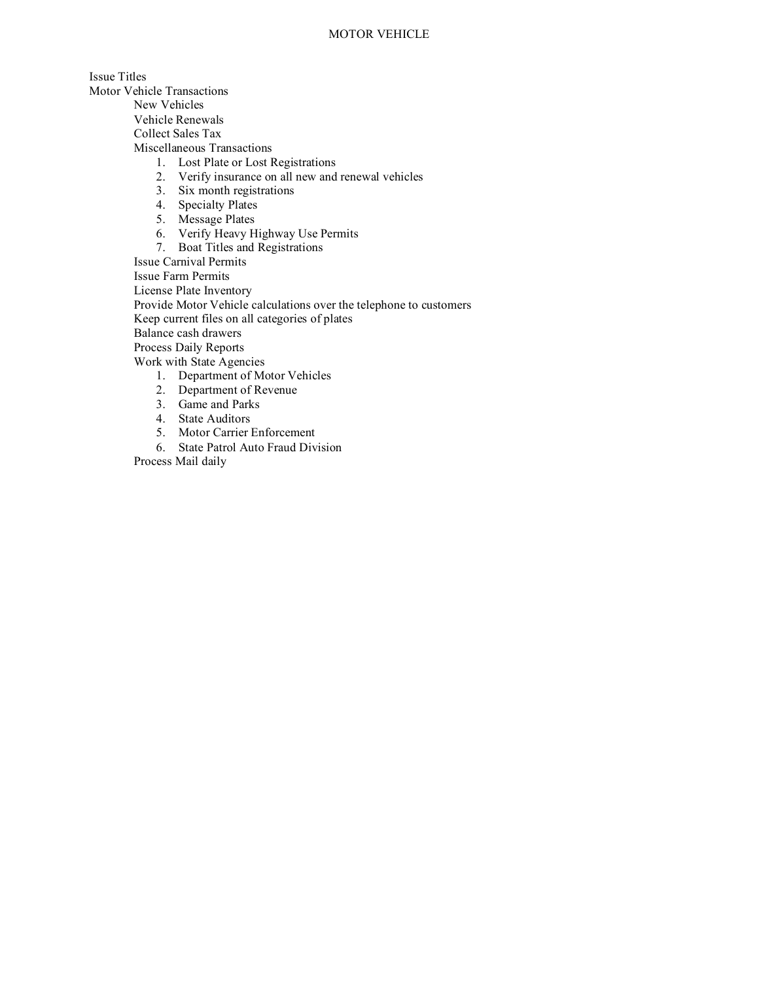Issue Titles Motor Vehicle Transactions

New Vehicles

Vehicle Renewals

Collect Sales Tax

Miscellaneous Transactions

- 1. Lost Plate or Lost Registrations
- 2. Verify insurance on all new and renewal vehicles
- 3. Six month registrations
- 4. Specialty Plates
- 5. Message Plates
- 6. Verify Heavy Highway Use Permits
- 7. Boat Titles and Registrations

Issue Carnival Permits

Issue Farm Permits

License Plate Inventory

Provide Motor Vehicle calculations over the telephone to customers

Keep current files on all categories of plates

Balance cash drawers

Process Daily Reports

Work with State Agencies

- 1. Department of Motor Vehicles
- 2. Department of Revenue
- 3. Game and Parks
- 4. State Auditors
- 5. Motor Carrier Enforcement
- 6. State Patrol Auto Fraud Division

Process Mail daily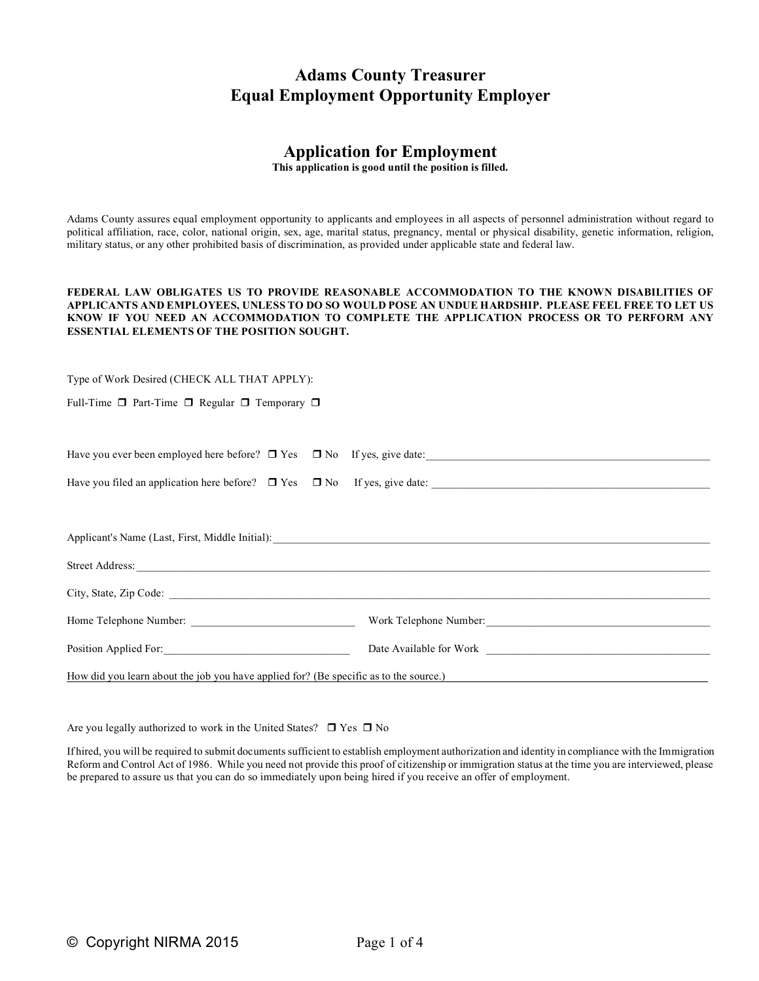# **Adams County Treasurer Equal Employment Opportunity Employer**

# **Application for Employment**

**This application is good until the position is filled.**

Adams County assures equal employment opportunity to applicants and employees in all aspects of personnel administration without regard to political affiliation, race, color, national origin, sex, age, marital status, pregnancy, mental or physical disability, genetic information, religion, military status, or any other prohibited basis of discrimination, as provided under applicable state and federal law.

#### **FEDERAL LAW OBLIGATES US TO PROVIDE REASONABLE ACCOMMODATION TO THE KNOWN DISABILITIES OF APPLICANTS AND EMPLOYEES, UNLESS TO DO SO WOULD POSE AN UNDUE HARDSHIP. PLEASE FEEL FREE TO LET US KNOW IF YOU NEED AN ACCOMMODATION TO COMPLETE THE APPLICATION PROCESS OR TO PERFORM ANY ESSENTIAL ELEMENTS OF THE POSITION SOUGHT.**

Type of Work Desired (CHECK ALL THAT APPLY):

Full-Time  $\Box$  Part-Time  $\Box$  Regular  $\Box$  Temporary  $\Box$ 

| Have you ever been employed here before? □ Yes □ No If yes, give date: |  |  |
|------------------------------------------------------------------------|--|--|
|                                                                        |  |  |

| Have you filed an application here before? $\Box$ Yes $\Box$ No If yes, give date: |  |  |
|------------------------------------------------------------------------------------|--|--|

| Applicant's Name (Last, First, Middle Initial):                                       |                                                             |  |  |
|---------------------------------------------------------------------------------------|-------------------------------------------------------------|--|--|
| <b>Street Address:</b>                                                                |                                                             |  |  |
|                                                                                       |                                                             |  |  |
| Home Telephone Number:                                                                | Work Telephone Number:                                      |  |  |
| Position Applied For:                                                                 | Date Available for Work <b>Exercísie Available for Work</b> |  |  |
| How did you learn about the job you have applied for? (Be specific as to the source.) |                                                             |  |  |

Are you legally authorized to work in the United States?  $\Box$  Yes  $\Box$  No

If hired, you will be required to submit documents sufficient to establish employment authorization and identity in compliance with the Immigration Reform and Control Act of 1986. While you need not provide this proof of citizenship or immigration status at the time you are interviewed, please be prepared to assure us that you can do so immediately upon being hired if you receive an offer of employment.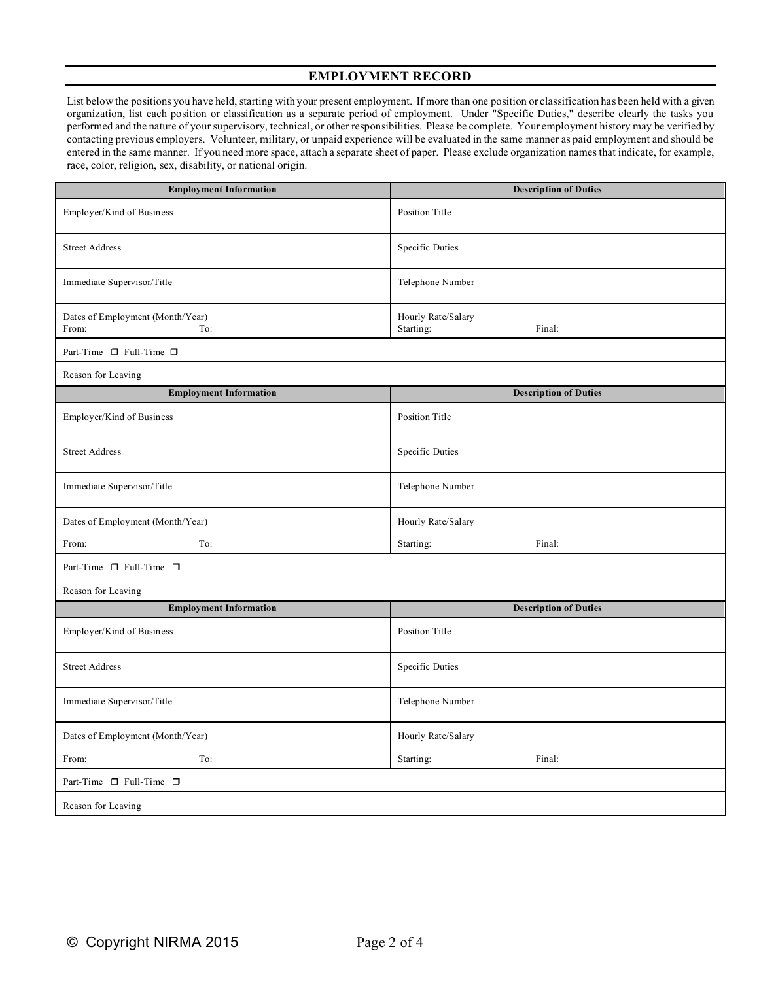## **EMPLOYMENT RECORD**

List below the positions you have held, starting with your present employment. If more than one position or classification has been held with a given organization, list each position or classification as a separate period of employment. Under "Specific Duties," describe clearly the tasks you performed and the nature of your supervisory, technical, or other responsibilities. Please be complete. Your employment history may be verified by contacting previous employers. Volunteer, military, or unpaid experience will be evaluated in the same manner as paid employment and should be entered in the same manner. If you need more space, attach a separate sheet of paper. Please exclude organization names that indicate, for example, race, color, religion, sex, disability, or national origin.

| <b>Employment Information</b>                    | <b>Description of Duties</b>              |  |  |
|--------------------------------------------------|-------------------------------------------|--|--|
| Employer/Kind of Business                        | Position Title                            |  |  |
| <b>Street Address</b>                            | Specific Duties                           |  |  |
| Immediate Supervisor/Title                       | Telephone Number                          |  |  |
| Dates of Employment (Month/Year)<br>To:<br>From: | Hourly Rate/Salary<br>Starting:<br>Final: |  |  |
| Part-Time □ Full-Time □                          |                                           |  |  |
| Reason for Leaving                               |                                           |  |  |
| <b>Employment Information</b>                    | <b>Description of Duties</b>              |  |  |
| Employer/Kind of Business                        | Position Title                            |  |  |
| <b>Street Address</b>                            | Specific Duties                           |  |  |
| Immediate Supervisor/Title                       | Telephone Number                          |  |  |
| Dates of Employment (Month/Year)                 | Hourly Rate/Salary                        |  |  |
| To:<br>From:                                     | Starting:<br>Final:                       |  |  |
| Part-Time $\Box$ Full-Time $\Box$                |                                           |  |  |
| Reason for Leaving                               |                                           |  |  |
| <b>Employment Information</b>                    | <b>Description of Duties</b>              |  |  |
| Employer/Kind of Business                        | Position Title                            |  |  |
| <b>Street Address</b>                            | Specific Duties                           |  |  |
| Immediate Supervisor/Title                       | Telephone Number                          |  |  |
| Dates of Employment (Month/Year)                 | Hourly Rate/Salary                        |  |  |
| To:<br>From:                                     | Starting:<br>Final:                       |  |  |
| Part-Time $\Box$ Full-Time $\Box$                |                                           |  |  |
| Reason for Leaving                               |                                           |  |  |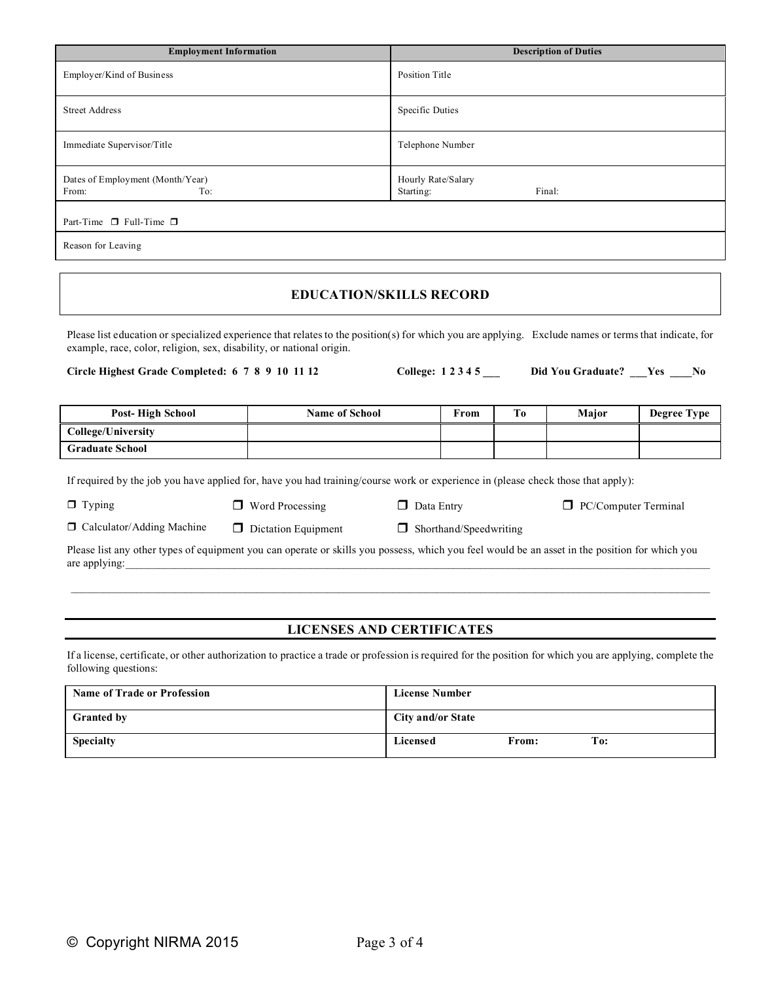| <b>Employment Information</b>                    | <b>Description of Duties</b>              |
|--------------------------------------------------|-------------------------------------------|
| Employer/Kind of Business                        | Position Title                            |
| <b>Street Address</b>                            | Specific Duties                           |
| Immediate Supervisor/Title                       | Telephone Number                          |
| Dates of Employment (Month/Year)<br>From:<br>To: | Hourly Rate/Salary<br>Final:<br>Starting: |
| Part-Time $\Box$ Full-Time $\Box$                |                                           |
| Reason for Leaving                               |                                           |

# **EDUCATION/SKILLS RECORD**

Please list education or specialized experience that relates to the position(s) for which you are applying. Exclude names or terms that indicate, for example, race, color, religion, sex, disability, or national origin.

**Circle Highest Grade Completed: 6 7 8 9 10 11 12 College: 1 2 3 4 5 \_\_\_ Did You Graduate? \_\_\_Yes \_\_\_\_No**

| Post-High School       | <b>Name of School</b> | From | T <sub>0</sub> | Major | Degree Type |
|------------------------|-----------------------|------|----------------|-------|-------------|
| College/University     |                       |      |                |       |             |
| <b>Graduate School</b> |                       |      |                |       |             |

If required by the job you have applied for, have you had training/course work or experience in (please check those that apply):

 $\Box$  Typing  $\Box$  Word Processing  $\Box$  Data Entry  $\Box$  PC/Computer Terminal

□ Calculator/Adding Machine □ Dictation Equipment □ Shorthand/Speedwriting

Please list any other types of equipment you can operate or skills you possess, which you feel would be an asset in the position for which you are applying:

# **LICENSES AND CERTIFICATES**

If a license, certificate, or other authorization to practice a trade or profession is required for the position for which you are applying, complete the following questions:

| <b>Name of Trade or Profession</b> | <b>License Number</b>    |
|------------------------------------|--------------------------|
| <b>Granted by</b>                  | <b>City and/or State</b> |
| <b>Specialty</b>                   | To:<br>Licensed<br>From: |